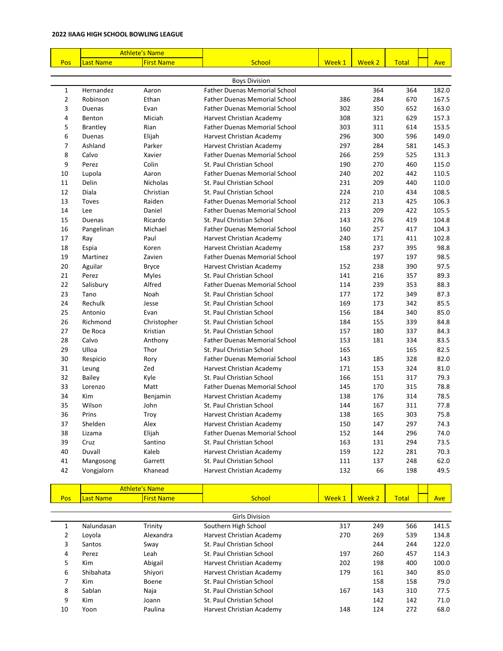|                |                  | <b>Athlete's Name</b> |                                      |        |        |              |            |
|----------------|------------------|-----------------------|--------------------------------------|--------|--------|--------------|------------|
| Pos            | <b>Last Name</b> | <b>First Name</b>     | School                               | Week 1 | Week 2 | <b>Total</b> | <b>Ave</b> |
|                |                  |                       |                                      |        |        |              |            |
|                |                  |                       | <b>Boys Division</b>                 |        |        |              |            |
| 1              | Hernandez        | Aaron                 | <b>Father Duenas Memorial School</b> |        | 364    | 364          | 182.0      |
| $\overline{2}$ | Robinson         | Ethan                 | <b>Father Duenas Memorial School</b> | 386    | 284    | 670          | 167.5      |
| 3              | Duenas           | Evan                  | <b>Father Duenas Memorial School</b> | 302    | 350    | 652          | 163.0      |
| 4              | Benton           | Miciah                | Harvest Christian Academy            | 308    | 321    | 629          | 157.3      |
| 5              | <b>Brantley</b>  | Rian                  | <b>Father Duenas Memorial School</b> | 303    | 311    | 614          | 153.5      |
| 6              | Duenas           | Elijah                | Harvest Christian Academy            | 296    | 300    | 596          | 149.0      |
| 7              | Ashland          | Parker                | Harvest Christian Academy            | 297    | 284    | 581          | 145.3      |
| 8              | Calvo            | Xavier                | <b>Father Duenas Memorial School</b> | 266    | 259    | 525          | 131.3      |
| 9              | Perez            | Colin                 | St. Paul Christian School            | 190    | 270    | 460          | 115.0      |
| 10             | Lupola           | Aaron                 | <b>Father Duenas Memorial School</b> | 240    | 202    | 442          | 110.5      |
| 11             | Delin            | <b>Nicholas</b>       | St. Paul Christian School            | 231    | 209    | 440          | 110.0      |
| 12             | Diala            | Christian             | St. Paul Christian School            | 224    | 210    | 434          | 108.5      |
| 13             | Toves            | Raiden                | <b>Father Duenas Memorial School</b> | 212    | 213    | 425          | 106.3      |
| 14             | Lee              | Daniel                | <b>Father Duenas Memorial School</b> | 213    | 209    | 422          | 105.5      |
| 15             | Duenas           | Ricardo               | St. Paul Christian School            | 143    | 276    | 419          | 104.8      |
| 16             | Pangelinan       | Michael               | <b>Father Duenas Memorial School</b> | 160    | 257    | 417          | 104.3      |
| 17             | Ray              | Paul                  | Harvest Christian Academy            | 240    | 171    | 411          | 102.8      |
| 18             | Espia            | Koren                 | Harvest Christian Academy            | 158    | 237    | 395          | 98.8       |
| 19             | Martinez         | Zavien                | <b>Father Duenas Memorial School</b> |        | 197    | 197          | 98.5       |
| 20             | Aguilar          | <b>Bryce</b>          | Harvest Christian Academy            | 152    | 238    | 390          | 97.5       |
| 21             | Perez            | <b>Myles</b>          | St. Paul Christian School            | 141    | 216    | 357          | 89.3       |
| 22             | Salisbury        | Alfred                | <b>Father Duenas Memorial School</b> | 114    | 239    | 353          | 88.3       |
| 23             | Tano             | Noah                  | St. Paul Christian School            | 177    | 172    | 349          | 87.3       |
| 24             | Rechulk          | Jesse                 | St. Paul Christian School            | 169    | 173    | 342          | 85.5       |
| 25             | Antonio          | Evan                  | St. Paul Christian School            | 156    | 184    | 340          | 85.0       |
| 26             | Richmond         | Christopher           | St. Paul Christian School            | 184    | 155    | 339          | 84.8       |
| 27             | De Roca          | Kristian              | St. Paul Christian School            | 157    | 180    | 337          | 84.3       |
| 28             | Calvo            | Anthony               | <b>Father Duenas Memorial School</b> | 153    | 181    | 334          | 83.5       |
| 29             | Ulloa            | Thor                  | St. Paul Christian School            | 165    |        | 165          | 82.5       |
| 30             | Respicio         | Rory                  | <b>Father Duenas Memorial School</b> | 143    | 185    | 328          | 82.0       |
| 31             | Leung            | Zed                   | Harvest Christian Academy            | 171    | 153    | 324          | 81.0       |
| 32             | <b>Bailey</b>    | Kyle                  | St. Paul Christian School            | 166    | 151    | 317          | 79.3       |
| 33             | Lorenzo          | Matt                  | <b>Father Duenas Memorial School</b> | 145    | 170    | 315          | 78.8       |
| 34             | Kim              | Benjamin              | Harvest Christian Academy            | 138    | 176    | 314          | 78.5       |
| 35             | Wilson           | John                  | St. Paul Christian School            | 144    | 167    | 311          | 77.8       |
| 36             | Prins            | Troy                  | Harvest Christian Academy            | 138    | 165    | 303          | 75.8       |
| 37             | Shelden          | Alex                  | Harvest Christian Academy            | 150    | 147    | 297          | 74.3       |
| 38             | Lizama           | Elijah                | <b>Father Duenas Memorial School</b> | 152    | 144    | 296          | 74.0       |
| 39             | Cruz             | Santino               | St. Paul Christian School            | 163    | 131    | 294          | 73.5       |
| 40             | Duvall           | Kaleb                 | Harvest Christian Academy            | 159    | 122    | 281          | 70.3       |
| 41             | Mangosong        | Garrett               | St. Paul Christian School            | 111    | 137    | 248          | 62.0       |
| 42             | Vongjalorn       | Khanead               | Harvest Christian Academy            | 132    | 66     | 198          | 49.5       |
|                |                  |                       |                                      |        |        |              |            |
|                |                  | <b>Athlete's Name</b> |                                      |        |        |              |            |

| Pos | <b>Last Name</b> | <b>First Name</b> | School                    | Week 1 | Week 2 | <b>Total</b> | <b>Ave</b> |
|-----|------------------|-------------------|---------------------------|--------|--------|--------------|------------|
|     |                  |                   |                           |        |        |              |            |
|     |                  |                   | <b>Girls Division</b>     |        |        |              |            |
| 1   | Nalundasan       | Trinity           | Southern High School      | 317    | 249    | 566          | 141.5      |
| 2   | Loyola           | Alexandra         | Harvest Christian Academy | 270    | 269    | 539          | 134.8      |
| 3   | Santos           | Sway              | St. Paul Christian School |        | 244    | 244          | 122.0      |
| 4   | Perez            | Leah              | St. Paul Christian School | 197    | 260    | 457          | 114.3      |
| 5.  | <b>Kim</b>       | Abigail           | Harvest Christian Academy | 202    | 198    | 400          | 100.0      |
| 6   | Shibahata        | Shiyori           | Harvest Christian Academy | 179    | 161    | 340          | 85.0       |
| 7   | <b>Kim</b>       | Boene             | St. Paul Christian School |        | 158    | 158          | 79.0       |
| 8   | Sablan           | Naja              | St. Paul Christian School | 167    | 143    | 310          | 77.5       |
| 9   | Kim              | Joann             | St. Paul Christian School |        | 142    | 142          | 71.0       |
| 10  | Yoon             | Paulina           | Harvest Christian Academy | 148    | 124    | 272          | 68.0       |
|     |                  |                   |                           |        |        |              |            |